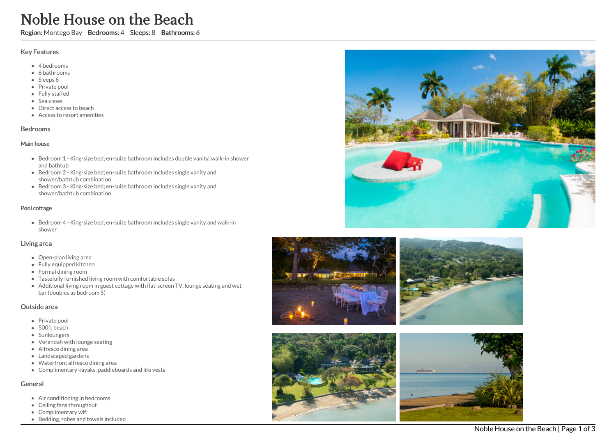# Noble House on the Beach

Region: Montego Bay Bedrooms: 4 Sleeps: 8 Bathrooms: 6

#### Key Features

- 4 bedrooms
- 6 bathrooms
- Sleeps 8
- Private pool
- Fully staffed
- Sea views
- Direct access to beach
- Access to resort amenities

### Bedrooms

#### Main house

- Bedroom 1 King-size bed; en-suite bathroom includes double vanity, walk-in shower and bathtub
- Bedroom 2 King-size bed; en-suite bathroom includes single vanity and shower/bathtub combination
- Bedroom 3 King-size bed; en-suite bathroom includes single vanity and shower/bathtub combination

### Pool cottage

Bedroom 4 - King-size bed; en-suite bathroom includes single vanity and walk-in shower

### Living area

- Open-plan living area
- Fully equipped kitchen
- Formal dining room
- Tastefully furnished living room with comfortable sofas
- Additional living room in guest cottage with flat-screen TV, lounge seating and wet bar (doubles as bedroom 5)

### Outside area

- Private pool
- 500ft beach
- Sunloungers
- Verandah with lounge seating
- Alfresco dining area
- Landscaped gardens
- Waterfront alfresco dining area
- Complimentary kayaks, paddleboards and life vests

# General

- Air conditioning in bedrooms
- Ceiling fans throughout
- Complimentary wifi
- Bedding, robes and towels included







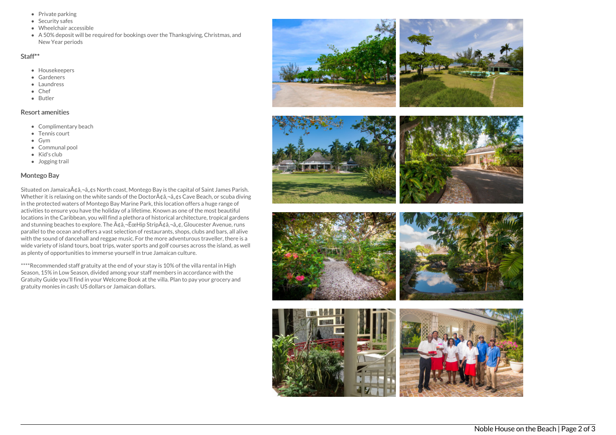- Private parking
- Security safes
- Wheelchair accessible
- A 50% deposit will be required for bookings over the Thanksgiving, Christmas, and New Year periods

#### Staff\*\*

- Housekeepers
- Gardeners
- Laundress
- Chef
- Butler

## Resort amenities

- Complimentary beach
- Tennis court
- $\bullet$  Gvm
- Communal pool
- Kid's club
- Jogging trail

### Montego Bay

Situated on Jamaica $\tilde{A} \notin \hat{a}$ ,  $\tilde{a}$ ,  $\varphi$ s North coast, Montego Bay is the capital of Saint James Parish. Whether it is relaxing on the white sands of the Doctor $A\phi$ a, $\neg$ a, $\phi$ s Cave Beach, or scuba diving in the protected waters of Montego Bay Marine Park, this location offers a huge range of activities to ensure you have the holiday of a lifetime. Known as one of the most beautiful locations in the Caribbean, you will find a plethora of historical architecture, tropical gardens and stunning beaches to explore. The A¢a,-EceHip StripA¢a,-a,¢, Gloucester Avenue, runs parallel to the ocean and offers a vast selection of restaurants, shops, clubs and bars, all alive with the sound of dancehall and reggae music. For the more adventurous traveller, there is a wide variety of island tours, boat trips, water sports and golf courses across the island, as well as plenty of opportunities to immerse yourself in true Jamaican culture.

\*\*\*\*Recommended staff gratuity at the end of your stay is 10% of the villa rental in High Season, 15% in Low Season, divided among your staff members in accordance with the Gratuity Guide you'll find in your Welcome Book at the villa. Plan to pay your grocery and gratuity monies in cash: US dollars or Jamaican dollars.